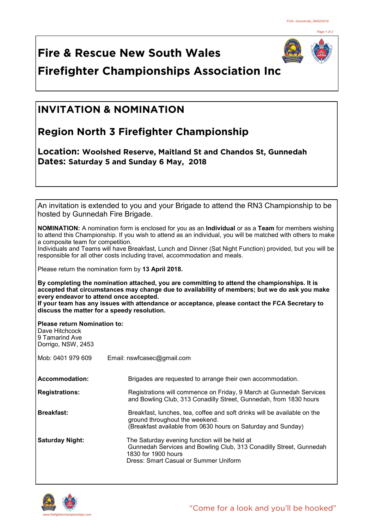

**Fire & Rescue New South Wales Firefighter Championships Association Inc**

## **INVITATION & NOMINATION**

## **Region North 3 Firefighter Championship**

**Location: Woolshed Reserve, Maitland St and Chandos St, Gunnedah Dates: Saturday 5 and Sunday 6 May, 2018** 

| hosted by Gunnedah Fire Brigade.                                                              | An invitation is extended to you and your Brigade to attend the RN3 Championship to be                                                                                                                                            |
|-----------------------------------------------------------------------------------------------|-----------------------------------------------------------------------------------------------------------------------------------------------------------------------------------------------------------------------------------|
| a composite team for competition.                                                             | <b>NOMINATION:</b> A nomination form is enclosed for you as an <b>Individual</b> or as a Team for members wishing<br>to attend this Championship. If you wish to attend as an individual, you will be matched with others to make |
|                                                                                               | Individuals and Teams will have Breakfast, Lunch and Dinner (Sat Night Function) provided, but you will be<br>responsible for all other costs including travel, accommodation and meals.                                          |
| Please return the nomination form by 13 April 2018.                                           |                                                                                                                                                                                                                                   |
| every endeavor to attend once accepted.                                                       | By completing the nomination attached, you are committing to attend the championships. It is<br>accepted that circumstances may change due to availability of members; but we do ask you make                                     |
| discuss the matter for a speedy resolution.                                                   | If your team has any issues with attendance or acceptance, please contact the FCA Secretary to                                                                                                                                    |
| <b>Please return Nomination to:</b><br>Dave Hitchcock<br>9 Tamarind Ave<br>Dorrigo, NSW, 2453 |                                                                                                                                                                                                                                   |
| Mob: 0401 979 609                                                                             | Email: nswfcasec@gmail.com                                                                                                                                                                                                        |
| <b>Accommodation:</b>                                                                         | Brigades are requested to arrange their own accommodation.                                                                                                                                                                        |
| <b>Registrations:</b>                                                                         | Registrations will commence on Friday, 9 March at Gunnedah Services<br>and Bowling Club, 313 Conadilly Street, Gunnedah, from 1830 hours                                                                                          |
| <b>Breakfast:</b>                                                                             | Breakfast, lunches, tea, coffee and soft drinks will be available on the<br>ground throughout the weekend.<br>(Breakfast available from 0630 hours on Saturday and Sunday)                                                        |
| <b>Saturday Night:</b>                                                                        | The Saturday evening function will be held at<br>Gunnedah Services and Bowling Club, 313 Conadilly Street, Gunnedah<br>1830 for 1900 hours<br>Dress: Smart Casual or Summer Uniform                                               |